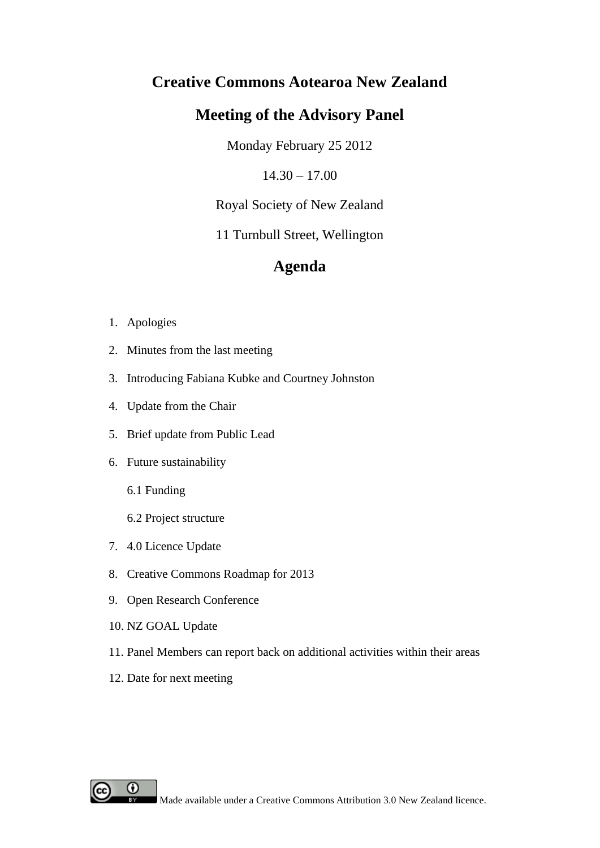# **Creative Commons Aotearoa New Zealand**

# **Meeting of the Advisory Panel**

Monday February 25 2012

 $14.30 - 17.00$ 

Royal Society of New Zealand

11 Turnbull Street, Wellington

# **Agenda**

- 1. Apologies
- 2. Minutes from the last meeting
- 3. Introducing Fabiana Kubke and Courtney Johnston
- 4. Update from the Chair
- 5. Brief update from Public Lead
- 6. Future sustainability
	- 6.1 Funding
	- 6.2 Project structure
- 7. 4.0 Licence Update
- 8. Creative Commons Roadmap for 2013
- 9. Open Research Conference
- 10. NZ GOAL Update
- 11. Panel Members can report back on additional activities within their areas
- 12. Date for next meeting

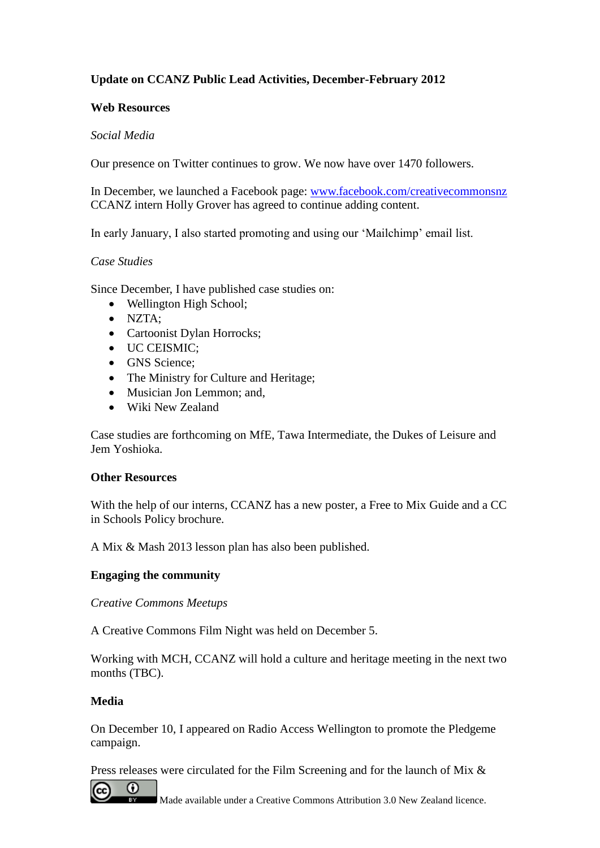## **Update on CCANZ Public Lead Activities, December-February 2012**

#### **Web Resources**

#### *Social Media*

Our presence on Twitter continues to grow. We now have over 1470 followers.

In December, we launched a Facebook page: [www.facebook.com/creativecommonsnz](http://www.facebook.com/creativecommonsnz) CCANZ intern Holly Grover has agreed to continue adding content.

In early January, I also started promoting and using our 'Mailchimp' email list.

#### *Case Studies*

Since December, I have published case studies on:

- Wellington High School;
- NZTA;
- Cartoonist Dylan Horrocks;
- $\bullet$  UC CEISMIC:
- GNS Science;
- The Ministry for Culture and Heritage;
- Musician Jon Lemmon: and,
- Wiki New Zealand

Case studies are forthcoming on MfE, Tawa Intermediate, the Dukes of Leisure and Jem Yoshioka.

#### **Other Resources**

With the help of our interns, CCANZ has a new poster, a Free to Mix Guide and a CC in Schools Policy brochure.

A Mix & Mash 2013 lesson plan has also been published.

#### **Engaging the community**

#### *Creative Commons Meetups*

A Creative Commons Film Night was held on December 5.

Working with MCH, CCANZ will hold a culture and heritage meeting in the next two months (TBC).

#### **Media**

On December 10, I appeared on Radio Access Wellington to promote the Pledgeme campaign.

Press releases were circulated for the Film Screening and for the launch of Mix &



Made available under a Creative Commons Attribution 3.0 New Zealand licence.